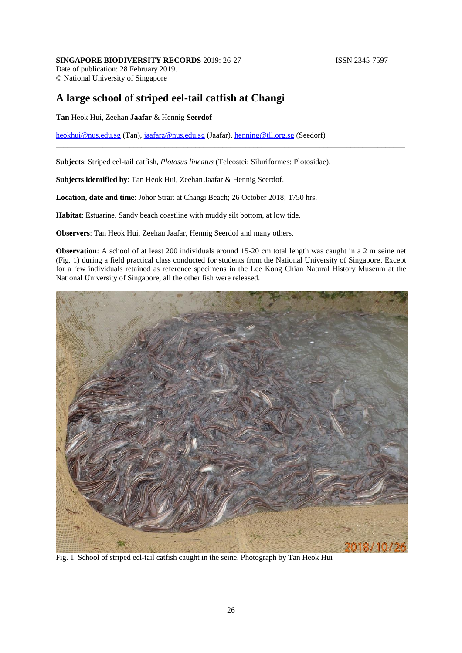## **SINGAPORE BIODIVERSITY RECORDS** 2019: 26-27 **ISSN 2345-7597**

Date of publication: 28 February 2019. © National University of Singapore

## **A large school of striped eel-tail catfish at Changi**

## **Tan** Heok Hui, Zeehan **Jaafar** & Hennig **Seerdof**

[heokhui@nus.edu.sg](mailto:heokhui@nus.edu.sg) (Tan), [jaafarz@nus.edu.sg](mailto:jaafarz@nus.edu.sg) (Jaafar), [henning@tll.org.sg](mailto:henning@tll.org.sg) (Seedorf)

**Subjects**: Striped eel-tail catfish, *Plotosus lineatus* (Teleostei: Siluriformes: Plotosidae).

**Subjects identified by**: Tan Heok Hui, Zeehan Jaafar & Hennig Seerdof.

**Location, date and time**: Johor Strait at Changi Beach; 26 October 2018; 1750 hrs.

**Habitat**: Estuarine. Sandy beach coastline with muddy silt bottom, at low tide.

**Observers**: Tan Heok Hui, Zeehan Jaafar, Hennig Seerdof and many others.

**Observation**: A school of at least 200 individuals around 15-20 cm total length was caught in a 2 m seine net (Fig. 1) during a field practical class conducted for students from the National University of Singapore. Except for a few individuals retained as reference specimens in the Lee Kong Chian Natural History Museum at the National University of Singapore, all the other fish were released.

\_\_\_\_\_\_\_\_\_\_\_\_\_\_\_\_\_\_\_\_\_\_\_\_\_\_\_\_\_\_\_\_\_\_\_\_\_\_\_\_\_\_\_\_\_\_\_\_\_\_\_\_\_\_\_\_\_\_\_\_\_\_\_\_\_\_\_\_\_\_\_\_\_\_\_\_\_\_\_\_\_\_\_\_\_\_\_\_\_\_



Fig. 1. School of striped eel-tail catfish caught in the seine. Photograph by Tan Heok Hui